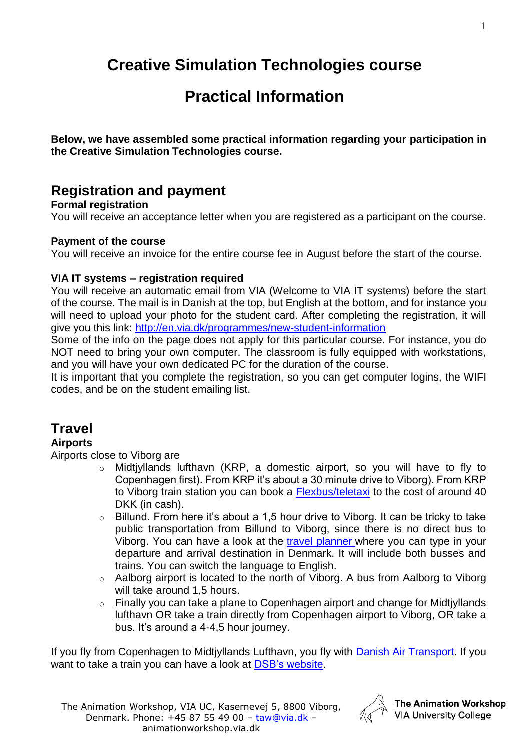# **Creative Simulation Technologies course**

# **Practical Information**

**Below, we have assembled some practical information regarding your participation in the Creative Simulation Technologies course.**

## **Registration and payment**

### **Formal registration**

You will receive an acceptance letter when you are registered as a participant on the course.

### **Payment of the course**

You will receive an invoice for the entire course fee in August before the start of the course.

### **VIA IT systems – registration required**

You will receive an automatic email from VIA (Welcome to VIA IT systems) before the start of the course. The mail is in Danish at the top, but English at the bottom, and for instance you will need to upload your photo for the student card. After completing the registration, it will give you this link:<http://en.via.dk/programmes/new-student-information>

Some of the info on the page does not apply for this particular course. For instance, you do NOT need to bring your own computer. The classroom is fully equipped with workstations, and you will have your own dedicated PC for the duration of the course.

It is important that you complete the registration, so you can get computer logins, the WIFI codes, and be on the student emailing list.

## **Travel**

### **Airports**

Airports close to Viborg are

- o Midtjyllands lufthavn (KRP, a domestic airport, so you will have to fly to Copenhagen first). From KRP it's about a 30 minute drive to Viborg). From KRP to Viborg train station you can book a [Flexbus/teletaxi](https://midtjyllandslufthavn.dk/tilfra/flexbus/) to the cost of around 40 DKK (in cash).
- $\circ$  Billund. From here it's about a 1,5 hour drive to Viborg. It can be tricky to take public transportation from Billund to Viborg, since there is no direct bus to Viborg. You can have a look at the [travel planner](http://www.rejseplanen.dk/) where you can type in your departure and arrival destination in Denmark. It will include both busses and trains. You can switch the language to English.
- o Aalborg airport is located to the north of Viborg. A bus from Aalborg to Viborg will take around 1,5 hours.
- $\circ$  Finally you can take a plane to Copenhagen airport and change for Midtiyllands lufthavn OR take a train directly from Copenhagen airport to Viborg, OR take a bus. It's around a 4-4,5 hour journey.

If you fly from Copenhagen to Midtjyllands Lufthavn, you fly with [Danish Air Transport.](https://www.dat.dk/) If you want to take a train you can have a look at [DSB's website.](http://www.dsb.dk/om-dsb/in-english/)



The Animation Workshop **VIA University College**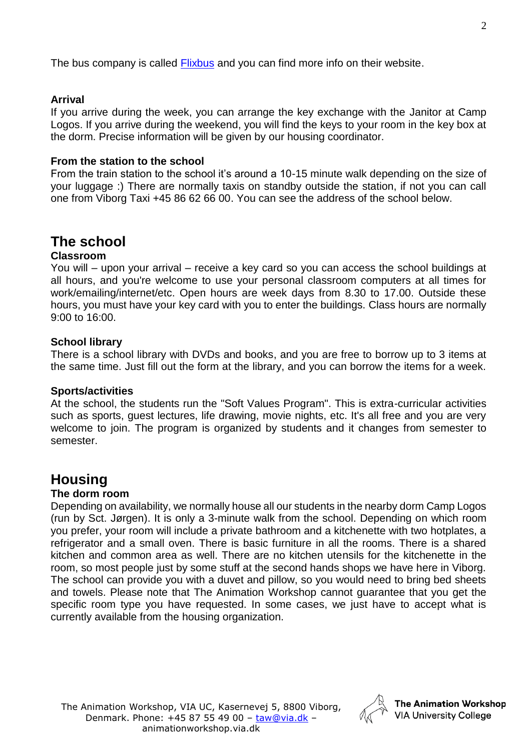The bus company is called [Flixbus](https://www.flixbus.co.uk/?wt_eid=2153546270647904414&wt_t=1535462784518&_ga=2.131813519.1419818704.1535462708-27869676.1535462708) and you can find more info on their website.

### **Arrival**

If you arrive during the week, you can arrange the key exchange with the Janitor at Camp Logos. If you arrive during the weekend, you will find the keys to your room in the key box at the dorm. Precise information will be given by our housing coordinator.

### **From the station to the school**

From the train station to the school it's around a 10-15 minute walk depending on the size of your luggage :) There are normally taxis on standby outside the station, if not you can call one from Viborg Taxi +45 86 62 66 00. You can see the address of the school below.

### **The school**

### **Classroom**

You will – upon your arrival – receive a key card so you can access the school buildings at all hours, and you're welcome to use your personal classroom computers at all times for work/emailing/internet/etc. Open hours are week days from 8.30 to 17.00. Outside these hours, you must have your key card with you to enter the buildings. Class hours are normally 9:00 to 16:00.

### **School library**

There is a school library with DVDs and books, and you are free to borrow up to 3 items at the same time. Just fill out the form at the library, and you can borrow the items for a week.

#### **Sports/activities**

At the school, the students run the "Soft Values Program". This is extra-curricular activities such as sports, guest lectures, life drawing, movie nights, etc. It's all free and you are very welcome to join. The program is organized by students and it changes from semester to semester.

### **Housing**

### **The dorm room**

Depending on availability, we normally house all our students in the nearby dorm Camp Logos (run by Sct. Jørgen). It is only a 3-minute walk from the school. Depending on which room you prefer, your room will include a private bathroom and a kitchenette with two hotplates, a refrigerator and a small oven. There is basic furniture in all the rooms. There is a shared kitchen and common area as well. There are no kitchen utensils for the kitchenette in the room, so most people just by some stuff at the second hands shops we have here in Viborg. The school can provide you with a duvet and pillow, so you would need to bring bed sheets and towels. Please note that The Animation Workshop cannot guarantee that you get the specific room type you have requested. In some cases, we just have to accept what is currently available from the housing organization.

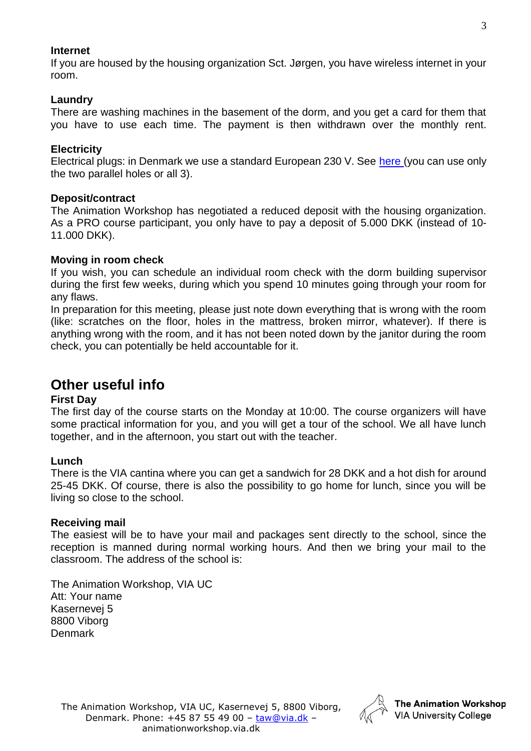### **Internet**

If you are housed by the housing organization Sct. Jørgen, you have wireless internet in your room.

### **Laundry**

There are washing machines in the basement of the dorm, and you get a card for them that you have to use each time. The payment is then withdrawn over the monthly rent.

### **Electricity**

Electrical plugs: in Denmark we use a standard European 230 V. See [here](https://www.power-plugs-sockets.com/denmark/) (you can use only the two parallel holes or all 3).

### **Deposit/contract**

The Animation Workshop has negotiated a reduced deposit with the housing organization. As a PRO course participant, you only have to pay a deposit of 5.000 DKK (instead of 10- 11.000 DKK).

### **Moving in room check**

If you wish, you can schedule an individual room check with the dorm building supervisor during the first few weeks, during which you spend 10 minutes going through your room for any flaws.

In preparation for this meeting, please just note down everything that is wrong with the room (like: scratches on the floor, holes in the mattress, broken mirror, whatever). If there is anything wrong with the room, and it has not been noted down by the janitor during the room check, you can potentially be held accountable for it.

### **Other useful info**

### **First Day**

The first day of the course starts on the Monday at 10:00. The course organizers will have some practical information for you, and you will get a tour of the school. We all have lunch together, and in the afternoon, you start out with the teacher.

### **Lunch**

There is the VIA cantina where you can get a sandwich for 28 DKK and a hot dish for around 25-45 DKK. Of course, there is also the possibility to go home for lunch, since you will be living so close to the school.

### **Receiving mail**

The easiest will be to have your mail and packages sent directly to the school, since the reception is manned during normal working hours. And then we bring your mail to the classroom. The address of the school is:

The Animation Workshop, VIA UC Att: Your name Kasernevej 5 8800 Viborg Denmark

The Animation Workshop, VIA UC, Kasernevej 5, 8800 Viborg, Denmark. Phone: +45 87 55 49 00 – [taw@via.dk](mailto:taw@via.dk) – animationworkshop.via.dk